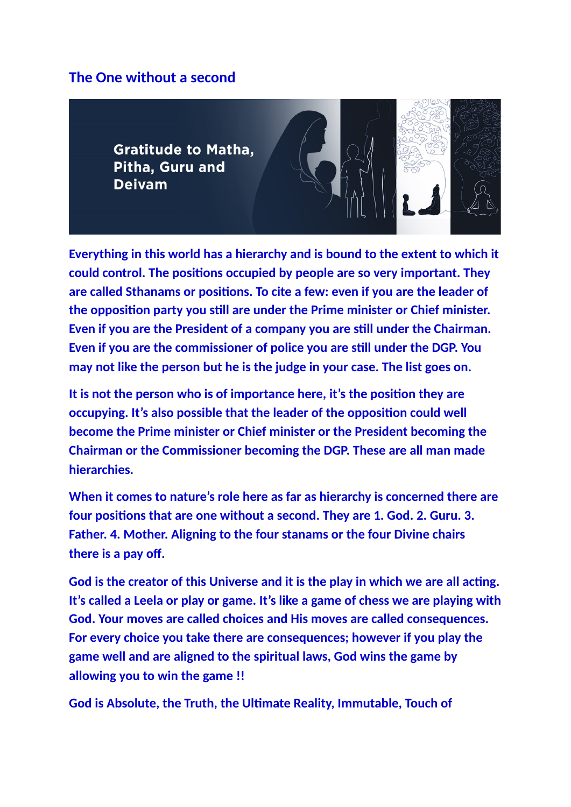## **The One without a second**

**Gratitude to Matha.** Pitha, Guru and **Deivam** 



**Everything in this world has a hierarchy and is bound to the extent to which it could control. The positions occupied by people are so very important. They are called Sthanams or positions. To cite a few: even if you are the leader of the opposition party you still are under the Prime minister or Chief minister. Even if you are the President of a company you are still under the Chairman. Even if you are the commissioner of police you are still under the DGP. You may not like the person but he is the judge in your case. The list goes on.**

**It is not the person who is of importance here, it's the position they are occupying. It's also possible that the leader of the opposition could well become the Prime minister or Chief minister or the President becoming the Chairman or the Commissioner becoming the DGP. These are all man made hierarchies.**

**When it comes to nature's role here as far as hierarchy is concerned there are four positions that are one without a second. They are 1. God. 2. Guru. 3. Father. 4. Mother. Aligning to the four stanams or the four Divine chairs there is a pay off.**

**God is the creator of this Universe and it is the play in which we are all acting. It's called a Leela or play or game. It's like a game of chess we are playing with God. Your moves are called choices and His moves are called consequences. For every choice you take there are consequences; however if you play the game well and are aligned to the spiritual laws, God wins the game by allowing you to win the game !!**

**God is Absolute, the Truth, the Ultimate Reality, Immutable, Touch of**